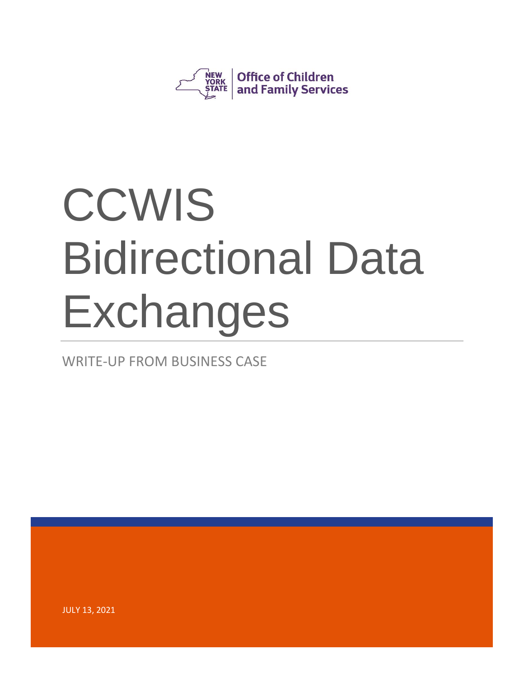

WRITE-UP FROM BUSINESS CASE

JULY 13, 2021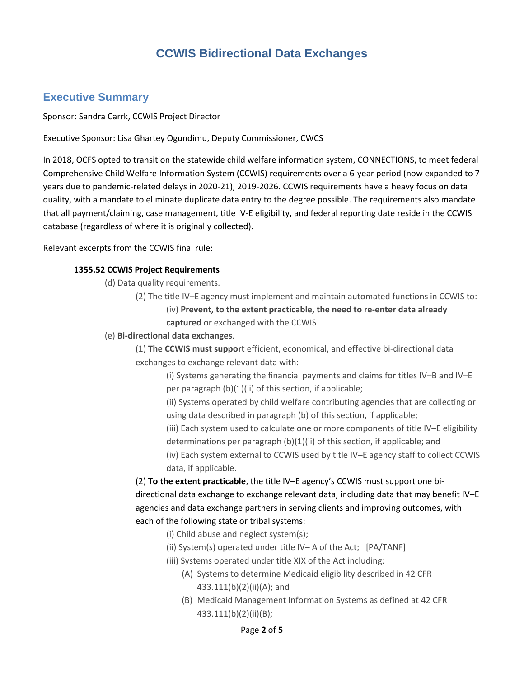## **Executive Summary**

Sponsor: Sandra Carrk, CCWIS Project Director

Executive Sponsor: Lisa Ghartey Ogundimu, Deputy Commissioner, CWCS

In 2018, OCFS opted to transition the statewide child welfare information system, CONNECTIONS, to meet federal Comprehensive Child Welfare Information System (CCWIS) requirements over a 6-year period (now expanded to 7 years due to pandemic-related delays in 2020-21), 2019-2026. CCWIS requirements have a heavy focus on data quality, with a mandate to eliminate duplicate data entry to the degree possible. The requirements also mandate that all payment/claiming, case management, title IV-E eligibility, and federal reporting date reside in the CCWIS database (regardless of where it is originally collected).

Relevant excerpts from the CCWIS final rule:

#### **1355.52 CCWIS Project Requirements**

(d) Data quality requirements.

- (2) The title IV–E agency must implement and maintain automated functions in CCWIS to: (iv) **Prevent, to the extent practicable, the need to re-enter data already captured** or exchanged with the CCWIS
- (e) **Bi-directional data exchanges**.

(1) **The CCWIS must support** efficient, economical, and effective bi-directional data exchanges to exchange relevant data with:

(i) Systems generating the financial payments and claims for titles IV–B and IV–E per paragraph (b)(1)(ii) of this section, if applicable;

(ii) Systems operated by child welfare contributing agencies that are collecting or using data described in paragraph (b) of this section, if applicable;

(iii) Each system used to calculate one or more components of title IV–E eligibility

determinations per paragraph (b)(1)(ii) of this section, if applicable; and

(iv) Each system external to CCWIS used by title IV–E agency staff to collect CCWIS data, if applicable.

(2) **To the extent practicable**, the title IV–E agency's CCWIS must support one bidirectional data exchange to exchange relevant data, including data that may benefit IV–E agencies and data exchange partners in serving clients and improving outcomes, with each of the following state or tribal systems:

- (i) Child abuse and neglect system(s);
- (ii) System(s) operated under title IV– A of the Act; [PA/TANF]
- (iii) Systems operated under title XIX of the Act including:
	- (A) Systems to determine Medicaid eligibility described in 42 CFR 433.111(b)(2)(ii)(A); and
	- (B) Medicaid Management Information Systems as defined at 42 CFR 433.111(b)(2)(ii)(B);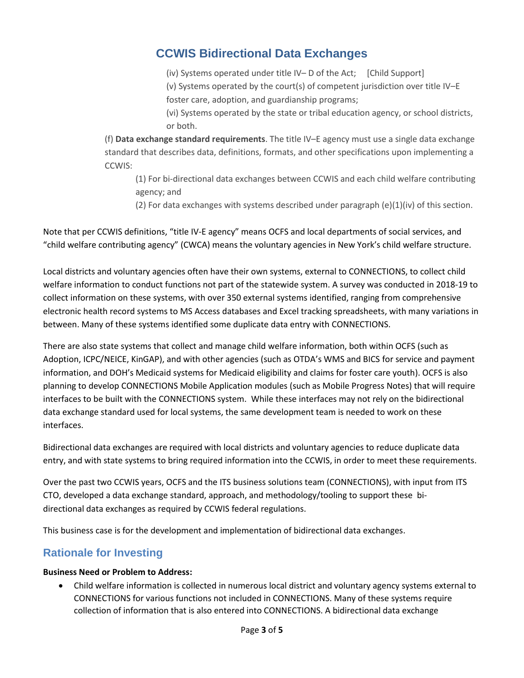(iv) Systems operated under title IV– D of the Act; [Child Support] (v) Systems operated by the court(s) of competent jurisdiction over title IV–E foster care, adoption, and guardianship programs;

(vi) Systems operated by the state or tribal education agency, or school districts, or both.

(f) **Data exchange standard requirements**. The title IV–E agency must use a single data exchange standard that describes data, definitions, formats, and other specifications upon implementing a CCWIS:

(1) For bi-directional data exchanges between CCWIS and each child welfare contributing agency; and

(2) For data exchanges with systems described under paragraph (e)(1)(iv) of this section.

Note that per CCWIS definitions, "title IV-E agency" means OCFS and local departments of social services, and "child welfare contributing agency" (CWCA) means the voluntary agencies in New York's child welfare structure.

Local districts and voluntary agencies often have their own systems, external to CONNECTIONS, to collect child welfare information to conduct functions not part of the statewide system. A survey was conducted in 2018-19 to collect information on these systems, with over 350 external systems identified, ranging from comprehensive electronic health record systems to MS Access databases and Excel tracking spreadsheets, with many variations in between. Many of these systems identified some duplicate data entry with CONNECTIONS.

There are also state systems that collect and manage child welfare information, both within OCFS (such as Adoption, ICPC/NEICE, KinGAP), and with other agencies (such as OTDA's WMS and BICS for service and payment information, and DOH's Medicaid systems for Medicaid eligibility and claims for foster care youth). OCFS is also planning to develop CONNECTIONS Mobile Application modules (such as Mobile Progress Notes) that will require interfaces to be built with the CONNECTIONS system. While these interfaces may not rely on the bidirectional data exchange standard used for local systems, the same development team is needed to work on these interfaces.

Bidirectional data exchanges are required with local districts and voluntary agencies to reduce duplicate data entry, and with state systems to bring required information into the CCWIS, in order to meet these requirements.

Over the past two CCWIS years, OCFS and the ITS business solutions team (CONNECTIONS), with input from ITS CTO, developed a data exchange standard, approach, and methodology/tooling to support these bidirectional data exchanges as required by CCWIS federal regulations.

This business case is for the development and implementation of bidirectional data exchanges.

## **Rationale for Investing**

#### **Business Need or Problem to Address:**

• Child welfare information is collected in numerous local district and voluntary agency systems external to CONNECTIONS for various functions not included in CONNECTIONS. Many of these systems require collection of information that is also entered into CONNECTIONS. A bidirectional data exchange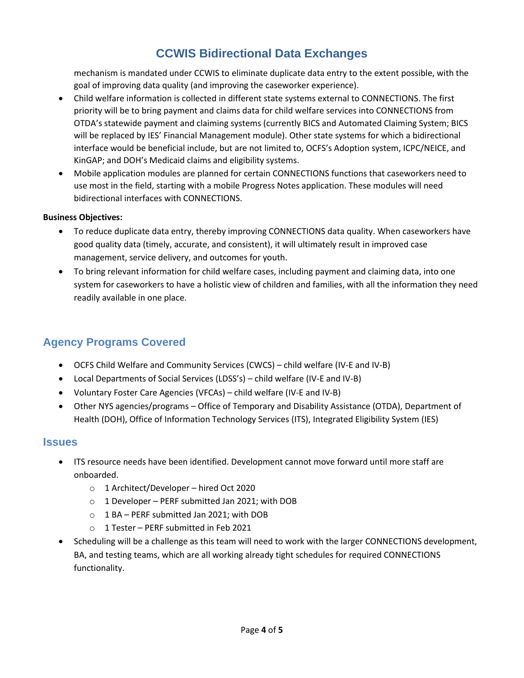mechanism is mandated under CCWIS to eliminate duplicate data entry to the extent possible, with the goal of improving data quality (and improving the caseworker experience).

- Child welfare information is collected in different state systems external to CONNECTIONS. The first priority will be to bring payment and claims data for child welfare services into CONNECTIONS from OTDA's statewide payment and claiming systems (currently BICS and Automated Claiming System; BICS will be replaced by IES' Financial Management module). Other state systems for which a bidirectional interface would be beneficial include, but are not limited to, OCFS's Adoption system, ICPC/NEICE, and KinGAP; and DOH's Medicaid claims and eligibility systems.
- Mobile application modules are planned for certain CONNECTIONS functions that caseworkers need to use most in the field, starting with a mobile Progress Notes application. These modules will need bidirectional interfaces with CONNECTIONS.

#### **Business Objectives:**

- To reduce duplicate data entry, thereby improving CONNECTIONS data quality. When caseworkers have good quality data (timely, accurate, and consistent), it will ultimately result in improved case management, service delivery, and outcomes for youth.
- To bring relevant information for child welfare cases, including payment and claiming data, into one system for caseworkers to have a holistic view of children and families, with all the information they need readily available in one place.

## **Agency Programs Covered**

- OCFS Child Welfare and Community Services (CWCS) child welfare (IV-E and IV-B)
- Local Departments of Social Services (LDSS's) child welfare (IV-E and IV-B)
- Voluntary Foster Care Agencies (VFCAs) child welfare (IV-E and IV-B)
- Other NYS agencies/programs Office of Temporary and Disability Assistance (OTDA), Department of Health (DOH), Office of Information Technology Services (ITS), Integrated Eligibility System (IES)

#### **Issues**

- ITS resource needs have been identified. Development cannot move forward until more staff are onboarded.
	- o 1 Architect/Developer hired Oct 2020
	- o 1 Developer PERF submitted Jan 2021; with DOB
	- o 1 BA PERF submitted Jan 2021; with DOB
	- o 1 Tester PERF submitted in Feb 2021
- Scheduling will be a challenge as this team will need to work with the larger CONNECTIONS development, BA, and testing teams, which are all working already tight schedules for required CONNECTIONS functionality.